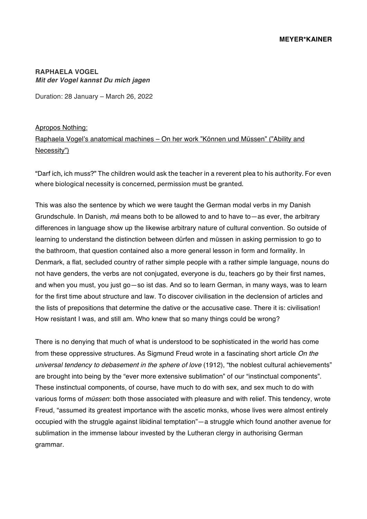## **RAPHAELA VOGEL** *Mit der Vogel kannst Du mich jagen*

Duration: 28 January – March 26, 2022

Apropos Nothing: Raphaela Vogel's anatomical machines – On her work "Können und Müssen" ("Ability and Necessity")

"Darf ich, ich muss?" The children would ask the teacher in a reverent plea to his authority. For even where biological necessity is concerned, permission must be granted.

This was also the sentence by which we were taught the German modal verbs in my Danish Grundschule. In Danish, *må* means both to be allowed to and to have to—as ever, the arbitrary differences in language show up the likewise arbitrary nature of cultural convention. So outside of learning to understand the distinction between dürfen and müssen in asking permission to go to the bathroom, that question contained also a more general lesson in form and formality. In Denmark, a flat, secluded country of rather simple people with a rather simple language, nouns do not have genders, the verbs are not conjugated, everyone is du, teachers go by their first names, and when you must, you just go—so ist das. And so to learn German, in many ways, was to learn for the first time about structure and law. To discover civilisation in the declension of articles and the lists of prepositions that determine the dative or the accusative case. There it is: civilisation! How resistant I was, and still am. Who knew that so many things could be wrong?

There is no denying that much of what is understood to be sophisticated in the world has come from these oppressive structures. As Sigmund Freud wrote in a fascinating short article *On the universal tendency to debasement in the sphere of love* (1912), "the noblest cultural achievements" are brought into being by the "ever more extensive sublimation" of our "instinctual components". These instinctual components, of course, have much to do with sex, and sex much to do with various forms of *müssen*: both those associated with pleasure and with relief. This tendency, wrote Freud, "assumed its greatest importance with the ascetic monks, whose lives were almost entirely occupied with the struggle against libidinal temptation"—a struggle which found another avenue for sublimation in the immense labour invested by the Lutheran clergy in authorising German grammar.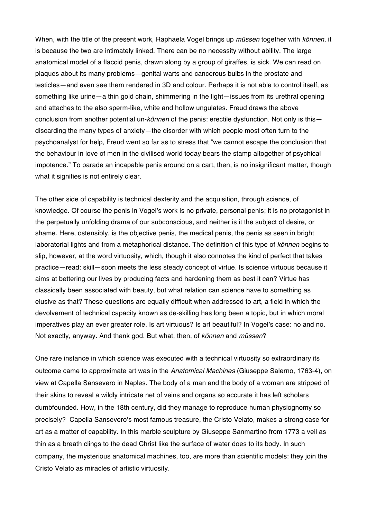When, with the title of the present work, Raphaela Vogel brings up *müssen* together with *können*, it is because the two are intimately linked. There can be no necessity without ability. The large anatomical model of a flaccid penis, drawn along by a group of giraffes, is sick. We can read on plaques about its many problems—genital warts and cancerous bulbs in the prostate and testicles—and even see them rendered in 3D and colour. Perhaps it is not able to control itself, as something like urine—a thin gold chain, shimmering in the light—issues from its urethral opening and attaches to the also sperm-like, white and hollow ungulates. Freud draws the above conclusion from another potential un-*können* of the penis: erectile dysfunction. Not only is this discarding the many types of anxiety—the disorder with which people most often turn to the psychoanalyst for help, Freud went so far as to stress that "we cannot escape the conclusion that the behaviour in love of men in the civilised world today bears the stamp altogether of psychical impotence." To parade an incapable penis around on a cart, then, is no insignificant matter, though what it signifies is not entirely clear.

The other side of capability is technical dexterity and the acquisition, through science, of knowledge. Of course the penis in Vogel's work is no private, personal penis; it is no protagonist in the perpetually unfolding drama of our subconscious, and neither is it the subject of desire, or shame. Here, ostensibly, is the objective penis, the medical penis, the penis as seen in bright laboratorial lights and from a metaphorical distance. The definition of this type of *können* begins to slip, however, at the word virtuosity, which, though it also connotes the kind of perfect that takes practice—read: skill—soon meets the less steady concept of virtue. Is science virtuous because it aims at bettering our lives by producing facts and hardening them as best it can? Virtue has classically been associated with beauty, but what relation can science have to something as elusive as that? These questions are equally difficult when addressed to art, a field in which the devolvement of technical capacity known as de-skilling has long been a topic, but in which moral imperatives play an ever greater role. Is art virtuous? Is art beautiful? In Vogel's case: no and no. Not exactly, anyway. And thank god. But what, then, of *können* and *müssen*?

One rare instance in which science was executed with a technical virtuosity so extraordinary its outcome came to approximate art was in the *Anatomical Machines* (Giuseppe Salerno, 1763-4), on view at Capella Sansevero in Naples. The body of a man and the body of a woman are stripped of their skins to reveal a wildly intricate net of veins and organs so accurate it has left scholars dumbfounded. How, in the 18th century, did they manage to reproduce human physiognomy so precisely? Capella Sansevero's most famous treasure, the Cristo Velato, makes a strong case for art as a matter of capability. In this marble sculpture by Giuseppe Sanmartino from 1773 a veil as thin as a breath clings to the dead Christ like the surface of water does to its body. In such company, the mysterious anatomical machines, too, are more than scientific models: they join the Cristo Velato as miracles of artistic virtuosity.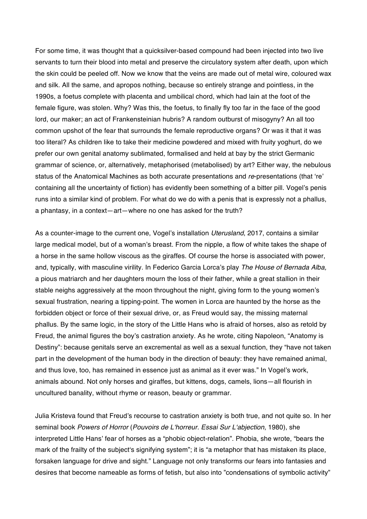For some time, it was thought that a quicksilver-based compound had been injected into two live servants to turn their blood into metal and preserve the circulatory system after death, upon which the skin could be peeled off. Now we know that the veins are made out of metal wire, coloured wax and silk. All the same, and apropos nothing, because so entirely strange and pointless, in the 1990s, a foetus complete with placenta and umbilical chord, which had lain at the foot of the female figure, was stolen. Why? Was this, the foetus, to finally fly too far in the face of the good lord, our maker; an act of Frankensteinian hubris? A random outburst of misogyny? An all too common upshot of the fear that surrounds the female reproductive organs? Or was it that it was too literal? As children like to take their medicine powdered and mixed with fruity yoghurt, do we prefer our own genital anatomy sublimated, formalised and held at bay by the strict Germanic grammar of science, or, alternatively, metaphorised (metabolised) by art? Either way, the nebulous status of the Anatomical Machines as both accurate presentations and *re*-presentations (that 're' containing all the uncertainty of fiction) has evidently been something of a bitter pill. Vogel's penis runs into a similar kind of problem. For what do we do with a penis that is expressly not a phallus, a phantasy, in a context—art—where no one has asked for the truth?

As a counter-image to the current one, Vogel's installation *Uterusland*, 2017, contains a similar large medical model, but of a woman's breast. From the nipple, a flow of white takes the shape of a horse in the same hollow viscous as the giraffes. Of course the horse is associated with power, and, typically, with masculine virility. In Federico Garcia Lorca's play *The House of Bernada Alba,* a pious matriarch and her daughters mourn the loss of their father, while a great stallion in their stable neighs aggressively at the moon throughout the night, giving form to the young women's sexual frustration, nearing a tipping-point. The women in Lorca are haunted by the horse as the forbidden object or force of their sexual drive, or, as Freud would say, the missing maternal phallus. By the same logic, in the story of the Little Hans who is afraid of horses, also as retold by Freud, the animal figures the boy's castration anxiety. As he wrote, citing Napoleon, "Anatomy is Destiny": because genitals serve an excremental as well as a sexual function, they "have not taken part in the development of the human body in the direction of beauty: they have remained animal, and thus love, too, has remained in essence just as animal as it ever was." In Vogel's work, animals abound. Not only horses and giraffes, but kittens, dogs, camels, lions—all flourish in uncultured banality, without rhyme or reason, beauty or grammar.

Julia Kristeva found that Freud's recourse to castration anxiety is both true, and not quite so. In her seminal book *Powers of Horror* (*Pouvoirs de L'horreur. Essai Sur L'abjection*, 1980), she interpreted Little Hans' fear of horses as a "phobic object-relation". Phobia, she wrote, "bears the mark of the frailty of the subject's signifying system"; it is "a metaphor that has mistaken its place, forsaken language for drive and sight." Language not only transforms our fears into fantasies and desires that become nameable as forms of fetish, but also into "condensations of symbolic activity"